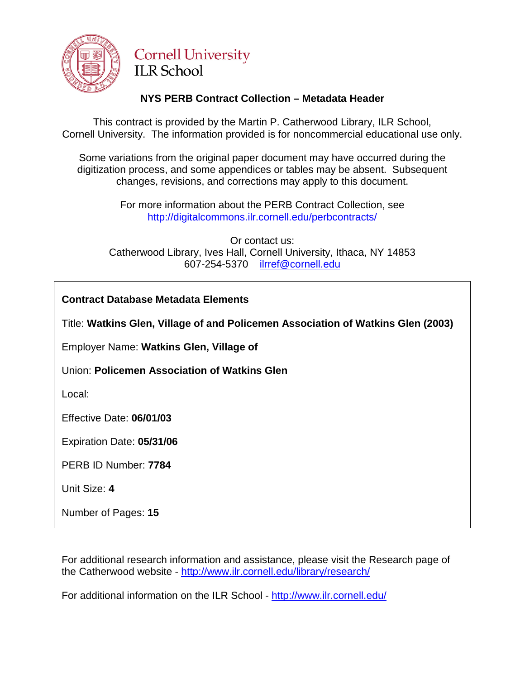

# **Cornell University ILR School**

# **NYS PERB Contract Collection – Metadata Header**

This contract is provided by the Martin P. Catherwood Library, ILR School, Cornell University. The information provided is for noncommercial educational use only.

Some variations from the original paper document may have occurred during the digitization process, and some appendices or tables may be absent. Subsequent changes, revisions, and corrections may apply to this document.

> For more information about the PERB Contract Collection, see http://digitalcommons.ilr.cornell.edu/perbcontracts/

Or contact us: Catherwood Library, Ives Hall, Cornell University, Ithaca, NY 14853 607-254-5370 [ilrref@cornell.edu](mailto:ilrref@cornell.edu)

Title: **Watkins Glen, Village of and Policemen Association of Watkins Glen (2003)**

Employer Name: **Watkins Glen, Village of**

Union: **Policemen Association of Watkins Glen**

Local:

Effective Date: **06/01/03**

Expiration Date: **05/31/06**

PERB ID Number: **7784**

Unit Size: **4**

Number of Pages: **15** 

For additional research information and assistance, please visit the Research page of the Catherwood website - <http://www.ilr.cornell.edu/library/research/>

For additional information on the ILR School - <http://www.ilr.cornell.edu/>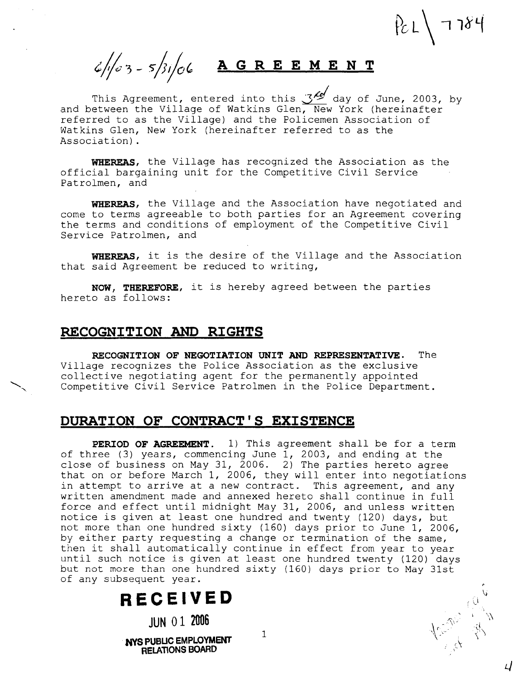$/2L$  7784

 $6/103 - 5/31/06$  <u>AGREEMENT</u>

This Agreement, entered into this  $\mathcal{S}^{\mathcal{M}}$  day of June, 2003, by and between the Village of Watkins Glen, New York (hereinafter referred to as the Village) and the Policemen Association of Watkins Glen, New York (hereinafter referred to as the Association).

WHEREAS, the Village has recognized the Association as the official bargaining unit for the Competitive Civil Service Patrolmen, and

WHEREAS, the Village and the Association have negotiated and come to terms agreeable to both parties for an Agreement covering the terms and conditions of employment of the Competitive Civil Service Patrolmen, and

WHEREAS, it is the desire of the Village and the Association that said Agreement be reduced to writing,

**NOW,** THEREFORE, it is hereby agreed between the parties hereto as follows:

#### **RECOGNITION AND RIGHTS**

RECOGNITION OF NEGOTIATION UNIT **AND** REPRESENTATIVE. The Village recognizes the Police Association as the exclusive collective negotiating agent for the permanently appointed Village recognizes the Police Association as the exclusive<br>collective negotiating agent for the permanently appointed<br>Competitive Civil Service Patrolmen in the Police Department.

## **DURATION OF CONTRACT'S EXISTENCE**

PERIOD OF AGREEMENT. 1) This agreement shall be for a term of three (3) years, commencing June 1, 2003, and ending at the close of business on May 31, 2006. 2) The parties hereto agree that on or before March 1, 2006, they will enter into negotiations in attempt to arrive at a new contract. This agreement, and any written amendment made and annexed hereto shall continue in full force and effect until midnight May 31, 2006, and unless written notice is given at least one hundred and twenty (120) days, but not more than one hundred sixty (160) days prior to June 1, 2006, by either party requesting a change or termination of the same, then it shall automatically continue in effect from year to year until such notice is given at least one hundred twenty (120) days but not more than one hundred sixty (160) days prior to May 31st of any subsequent year.

1

# **RECEIVED**

**JUN 01 2006** 

**NYS PUBUC EMPLOYMENT RELATIONS BOARD** 

Accept de la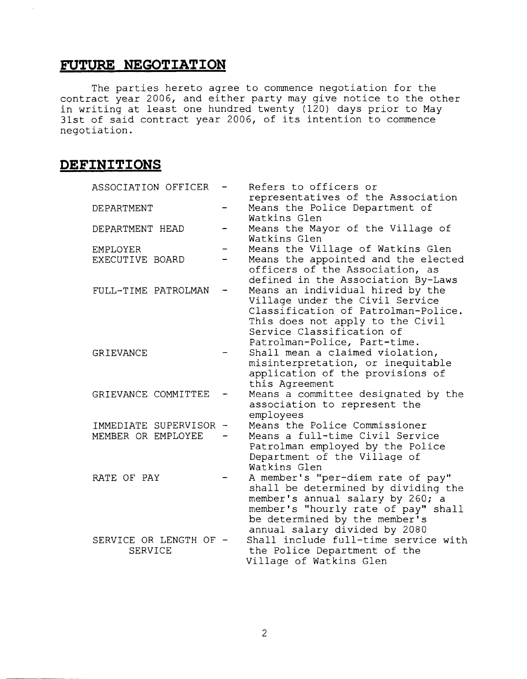# **FUTURE NEGOTIATION**

The parties hereto agree to commence negotiation for the contract year 2006, and either party may give notice to the other in writing at least one hundred twenty (120) days prior to May 31st of said contract year 2006, of its intention to commence negotiation.

# **DEFINITIONS**

 $\mathbb{R}^2$ 

| ASSOCIATION OFFICER    | Refers to officers or                                                    |
|------------------------|--------------------------------------------------------------------------|
| <b>DEPARTMENT</b>      | representatives of the Association<br>Means the Police Department of     |
|                        | Watkins Glen                                                             |
| DEPARTMENT HEAD        | Means the Mayor of the Village of                                        |
|                        | Watkins Glen                                                             |
| <b>EMPLOYER</b>        | Means the Village of Watkins Glen                                        |
| EXECUTIVE BOARD        | Means the appointed and the elected                                      |
|                        | officers of the Association, as                                          |
|                        | defined in the Association By-Laws                                       |
| FULL-TIME PATROLMAN    | Means an individual hired by the                                         |
|                        | Village under the Civil Service                                          |
|                        | Classification of Patrolman-Police.                                      |
|                        | This does not apply to the Civil                                         |
|                        | Service Classification of                                                |
|                        | Patrolman-Police, Part-time.                                             |
| <b>GRIEVANCE</b>       | Shall mean a claimed violation,                                          |
|                        | misinterpretation, or inequitable                                        |
|                        | application of the provisions of                                         |
|                        | this Agreement                                                           |
| GRIEVANCE COMMITTEE    | Means a committee designated by the                                      |
|                        | association to represent the                                             |
|                        | employees                                                                |
| IMMEDIATE SUPERVISOR - | Means the Police Commissioner<br>Means a full-time Civil Service         |
| MEMBER OR EMPLOYEE     |                                                                          |
|                        | Patrolman employed by the Police                                         |
|                        | Department of the Village of<br>Watkins Glen                             |
| RATE OF PAY            |                                                                          |
|                        | A member's "per-diem rate of pay"<br>shall be determined by dividing the |
|                        | member's annual salary by 260; a                                         |
|                        | member's "hourly rate of pay" shall                                      |
|                        | be determined by the member's                                            |
|                        | annual salary divided by 2080                                            |
| SERVICE OR LENGTH OF - | Shall include full-time service with                                     |
| <b>SERVICE</b>         | the Police Department of the                                             |
|                        | Village of Watkins Glen                                                  |
|                        |                                                                          |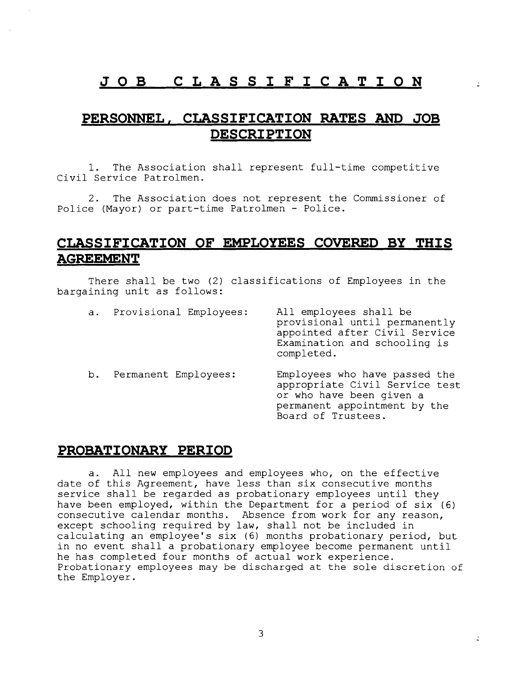# **JOB CLASSIFICATION**

# **PERSONNEL, CLASSIFICATION RATES AND JOB DESCRIPTION**

1. The Association shall represent full-time competitive Civil Service Patrolmen.

2. The Association does not represent the Commissioner of Police (Mayor) or part-time Patrolmen - Police.

# **CLASSIFICATION OF EMPLOYEES COVERED BY THIS AGREEMENT**

There shall be two (2) classifications of Employees in the bargaining unit as follows:

| а. | Provisional Employees: | All employees shall be<br>provisional until permanently<br>appointed after Civil Service<br>Examination and schooling is<br>completed.            |
|----|------------------------|---------------------------------------------------------------------------------------------------------------------------------------------------|
| b. | Permanent Employees:   | Employees who have passed the<br>appropriate Civil Service test<br>or who have been given a<br>permanent appointment by the<br>Board of Trustees. |

# PROBATIONARY PERIOD

a. All new employees and employees who, on the effective date of this Agreement, have less than six consecutive months service shall be regarded as probationary employees until they have been employed, within the Department for a period of six (6) consecutive calendar months. Absence from work for any reason, except schooling required by law, shall not be included in calculating an employee's six (6) months probationary period, but in no event shall a probationary employee become permanent until he has completed four months of actual work experience. Probationary employees may be discharged at the sole discretion of the Employer.

 $\mathbf{r}$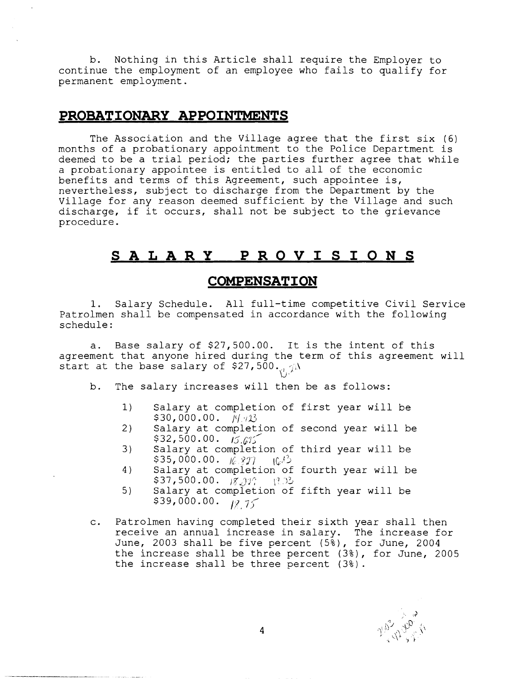b. Nothing in this Article shall require the Employer to continue the employment of an employee who fails to qualify for permanent employment.

# **PROBATIONARY APPOINTMENTS**

The Association and the Village agree that the first six (6) months of a probationary appointment to the Police Department is deemed to be a trial period; the parties further agree that while a probationary appointee is entitled to all of the economic benefits and terms of this Agreement, such appointee is, nevertheless, subject to discharge from the Department by the Village for any reason deemed sufficient by the Village and such discharge, if it occurs, shall not be subject to the grievance procedure.

# **SALARY PROVISIONS**

# **COMPENSATION**

1. Salary Schedule. All full-time competitive Civil Service Patrolmen shall be compensated in accordance with the following schedule:

a. Base salary of \$27,500.00. It is the intent of this agreement that anyone hired during the term of this agreement will start at the base salary of \$27,500.

b. The salary increases will then be as follows:

- 1) Salary at completion of first year will be  $$30,000.00.$   $14.43$
- 2) Salary at completion of second year will be \$32,500.00. *15.6*%
- 3) Salary at completion of third year will be  $$35,000.00.$   $\frac{16.827}{16^{13}}$
- 4) Salary at completion of fourth year will be  $$37,500.00.$   $$37,500.00.$
- 5) Salary at completion of fifth year will be  $\frac{22}{39,000.00}$ .  $\frac{1}{10,15}$
- c. Patrolmen having completed their sixth year shall then receive an annual increase in salary. The increase for June, 2003 shall be five percent  $(5\frac{2}{3})$ , for June, 2004 the increase shall be three percent (3%), for June, 2005 the increase shall be three percent (3%).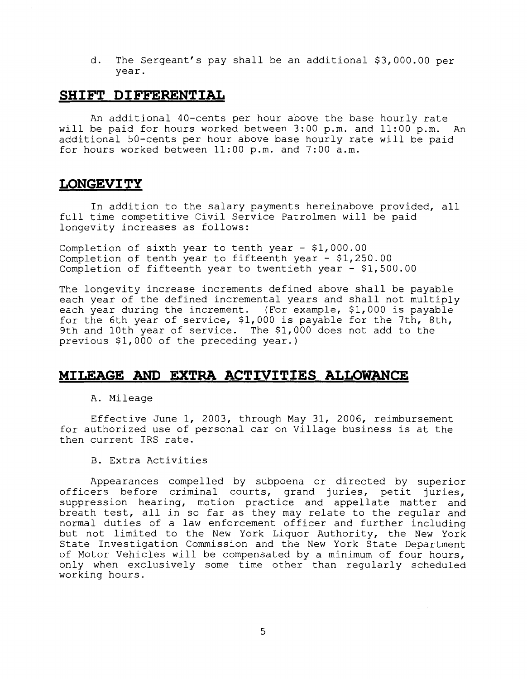d. The Sergeant's pay shall be an additional \$3,000.00 per year.

#### **SHIFT DIFFERENTIAL**

An additional 40-cents per hour above the base hourly rate will be paid for hours worked between 3:00 p.m. and 11:OO p.m. An additional 50-cents per hour above base hourly rate will be paid for hours worked between 11:OO p.m. and 7:00 a.m.

#### **LONGEVITY**

In addition to the salary payments hereinabove provided, all full time competitive Civil Service Patrolmen will be paid longevity increases as follows:

Completion of sixth year to tenth year - \$1,000.00 Completion of tenth year to fifteenth year - \$1,250.00 Completion of fifteenth year to twentieth year - \$1,500.00

The longevity increase increments defined above shall be payable each year of the defined incremental years and shall not multiply each year during the increment. (For example, \$1,000 is payable for the 6th year of service, \$1,000 is payable for the 7th, 8th, 9th and 10th year of service. The \$1,000 does not add to the previous \$1,000 of the preceding year.)

# **MILEAGE AND EXTRA ACTIVITIES ALLOWANCE**

#### A. Mileage

Effective June 1, 2003, through May 31, 2006, reimbursement for authorized use of personal car on Village business is at the then current IRS rate.

B. Extra Activities

Appearances compelled by subpoena or directed by superior officers before criminal courts, grand juries, petit juries, suppression hearing, motion practice and appellate matter and breath test, all in so far as they may relate to the regular and normal duties of a law enforcement officer and further including but not limited to the New York Liquor Authority, the New York State Investigation Commission and the New York State Department of Motor Vehicles will be compensated by a minimum of four hours, only when exclusively some time other than regularly scheduled working hours.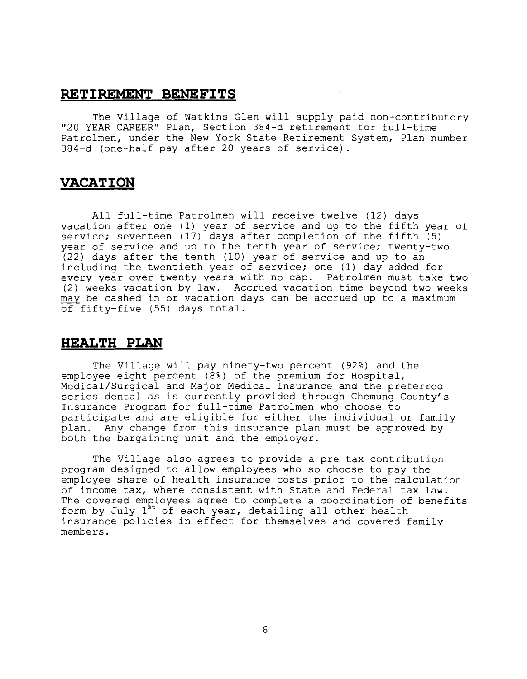#### RETIREMENT BENEFITS

The Village of Watkins Glen will supply paid non-contributory "20 YEAR CAREER" Plan, Section 384-d retirement for full-time Patrolmen, under the New York State Retirement System, Plan number 384-d (one-half pay after 20 years of service).

# **VACATION**

All full-time Patrolmen will receive twelve (12) days vacation after one (1) year of service and up to the fifth year of service; seventeen (17) days after completion of the fifth (5) year of service and up to the tenth year of service; twenty-two (22) days after the tenth (10) year of service and up to an including the twentieth year of service; one (1) day added for every year over twenty years with no cap. Patrolmen must take two (2) weeks vacation by law. Accrued vacation time beyond two weeks may be cashed in or vacation days can be accrued up to a maximum of fifty-five (55) days total.

# **HEALTH PLAN**

The Village will pay ninety-two percent (92%) and the employee eight percent (8%) of the premium for Hospital, Medical/Surgical and Major Medical Insurance and the preferred series dental as is currently provided through Chemung County's Insurance Program for full-time Patrolmen who choose to participate and are eligible for either the individual or family plan. Any change from this insurance plan must be approved by both the bargaining unit and the employer.

The Village also agrees to provide a pre-tax contribution program designed to allow employees who so choose to pay the employee share of health insurance costs prior to the calculation of income tax, where consistent with State and Federal tax law. The covered employees agree to complete a coordination of benefits form by July  $1^{5t}$  of each year, detailing all other health insurance policies in effect for themselves and covered family members.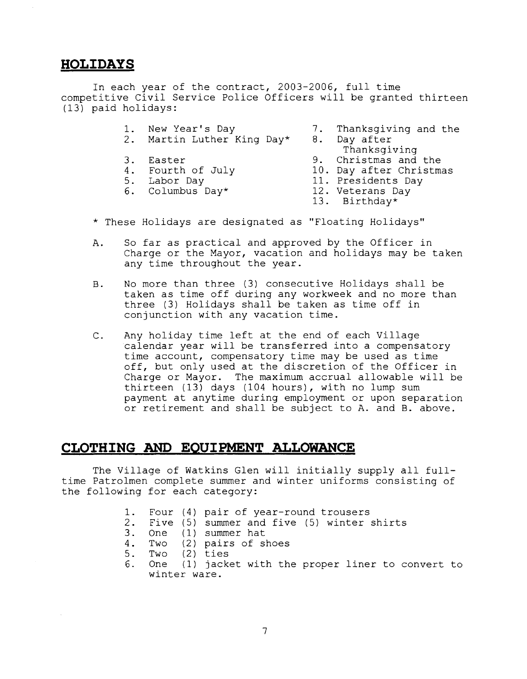# **HOLIDAYS**

In each year of the contract, 2003-2006, full time competitive Civil Service Police Officers will be granted thirteen (13) paid holidays:

- 1. New Year's Day 7. Thanksgiving and the<br>2. Martin Luther King Day\* 8. Day after
- Martin Luther King Day\*
- 
- 
- 
- 
- - - Thanksgiving
- 3. Easter 9. Christmas and the<br>4. Fourth of July 10. Day after Christma
- 4. Fourth of July 10. Day after Christmas<br>5. Labor Day 11. Presidents Day
	- 11. Presidents Day<br>12. Veterans Day
- 6. Columbus Day\*  $12.$  12.
	-
	- Birthday\*
- \* These Holidays are designated as "Floating Holidays"
- A. So far as practical and approved by the Officer in Charge or the Mayor, vacation and holidays may be taken any time throughout the year.
- B. No more than three (3) consecutive Holidays shall be taken as time off during any workweek and no more than three (3) Holidays shall be taken as time off in conjunction with any vacation time.
- C. Any holiday time left at the end of each Village calendar year will be transferred into a compensatory time account, compensatory time may be used as time off, but only used at the discretion of the Officer in Charge or Mayor. The maximum accrual allowable will be thirteen (13) days (104 hours), with no lump sum payment at anytime during employment or upon separation or retirement and shall be subject to A. and B. above.

## CLOTHING AND EQUIPMENT ALLOWANCE

The Village of Watkins Glen will initially supply all fulltime Patrolmen complete summer and winter uniforms consisting of the following for each category:

- 1. Four (4) pair of year-round trousers
- 2. Five (5) summer and five (5) winter shirts
- 3. One (1) summer hat
- 4. Two (2) pairs of shoes
- 5. Two (2) ties
- 6. One (1) jacket with the proper liner to convert to winter ware.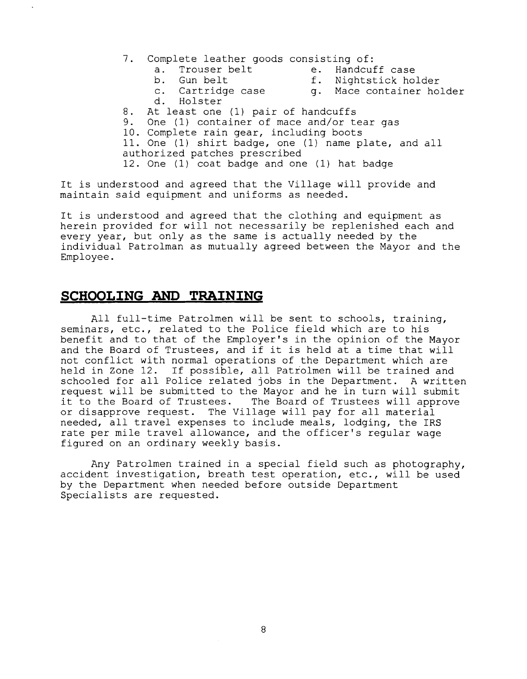- 7. Complete leather goods consisting of:<br>
a. Trouser belt e. Handcuff case
	- a. Trouser belt<br>b. Gun belt
- 
- 
- 
- 
- b. Gun belt f. Nightstick holder<br>c. Cartridge case f. Mace container hol q. Mace container holder
- d. Holster
- 8. At least one (1) pair of handcuffs<br>9. One (1) container of mace and/or to
- One (1) container of mace and/or tear gas
- 10. Complete rain gear, including boots

11. One (1) shirt badge, one (1) name plate, and all authorized patches prescribed

12. One (1) coat badge and one (1) hat badge

It is understood and agreed that the Village will provide and maintain said equipment and uniforms as needed.

It is understood and agreed that the clothing and equipment as herein provided for will not necessarily be replenished each and every year, but only as the same is actually needed by the individual Patrolman as mutually agreed between the Mayor and the Employee.

# **SCHOOLING AND TRAINING**

All full-time Patrolmen will be sent to schools, training, seminars, etc., related to the Police field which are to his benefit and to that of the Employer's in the opinion of the Mayor and the Board of Trustees, and if it is held at a time that will not conflict with normal operations of the Department which are held in Zone 12. If possible, all Patrolmen will be trained and schooled for all Police related jobs in the Department. A written request will be submitted to the Mayor and he in turn will submit<br>it to the Board of Trustees. The Board of Trustees will approve The Board of Trustees will approve or disapprove request. The Village will pay for all material needed, all travel expenses to include meals, lodging, the IRS rate per mile travel allowance, and the officer's regular wage figured on an ordinary weekly basis.

Any Patrolmen trained in a special field such as photography, accident investigation, breath test operation, etc., will be used by the Department when needed before outside Department Specialists are requested.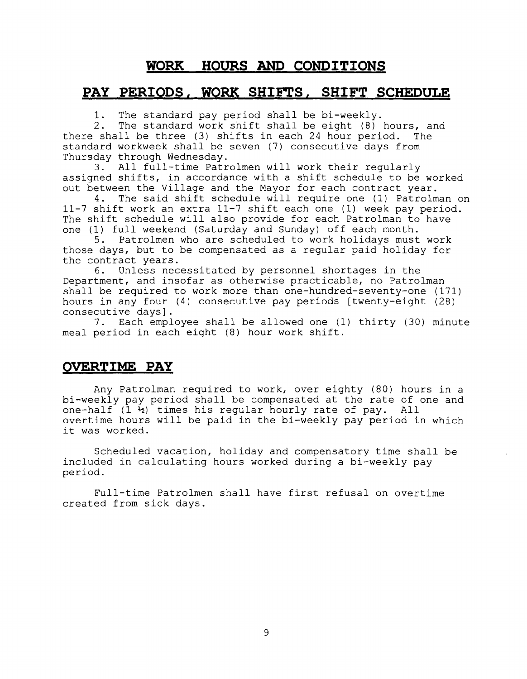# **WORK HOURS AND CONDITIONS**

## **PAY PERIODS, WORK SHIFTS. SHIFT SCHEDULE**

1. The standard pay period shall be bi-weekly.<br>2. The standard work shift shall be eight (8)

The standard work shift shall be eight  $(8)$  hours, and there shall be three (3) shifts in each 24 hour period. The standard workweek shall be seven (7) consecutive days from Thursday through Wednesday.<br>3. All full-time Patr

All full-time Patrolmen will work their regularly assigned shifts, in accordance with a shift schedule to be worked out between the Village and the Mayor for each contract year.<br>4. The said shift schedule will require one (1) Patrolm

4. The said shift schedule will require one (1) Patrolman on 11-7 shift work an extra 11-7 shift each one (1) week pay period. The shift schedule will also provide for each Patrolman to have one (1) full weekend (Saturday and Sunday) off each month.

5. Patrolmen who are scheduled to work holidays must work those days, but to be compensated as a regular paid holiday for the contract years.<br>6. Unless nec

Unless necessitated by personnel shortages in the Department, and insofar as otherwise practicable, no Patrolman shall be required to work more than one-hundred-seventy-one (171) hours in any four (4) consecutive pay periods [twenty-eight (28) consecutive days].

7. Each employee shall be allowed one (1) thirty (30) minute meal period in each eight (8) hour work shift.

# **OVERTIME PAY**

Any Patrolman required to work, over eighty (80) hours in a bi-weekly pay period shall be compensated at the rate of one and one-half  $(1 \t{b})$  times his regular hourly rate of pay. All overtime hours will be paid in the bi-weekly pay period in which it was worked.

Scheduled vacation, holiday and compensatory time shall be included in calculating hours worked during a bi-weekly pay period.

Full-time Patrolmen shall have first refusal on overtime created from sick days.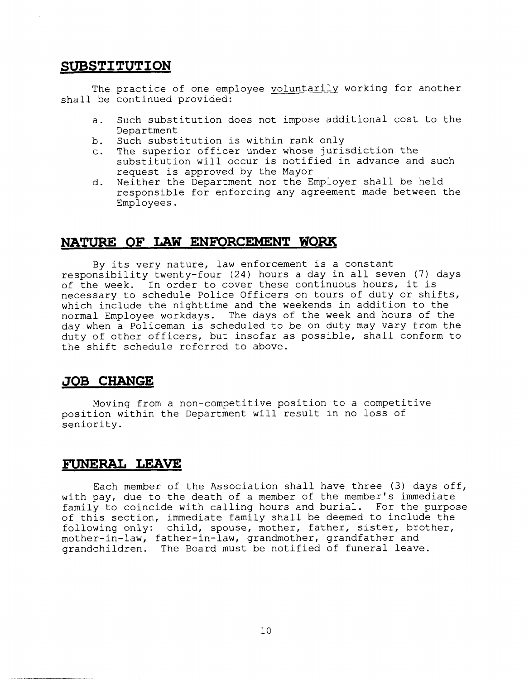## **SUBSTITUTION**

The practice of one employee voluntarily working for another shall be continued provided:

- a. Such substitution does not impose additional cost to the Department
- b. Such substitution is within rank only
- c. The superior officer under whose jurisdiction the substitution will occur is notified in advance and such request is approved by the Mayor
- d. Neither the Department nor the Employer shall be held responsible for enforcing any agreement made between the Employees.

# **NATURE OF LAW ENFORCEMENT WORK**

By its very nature, law enforcement is a constant responsibility twenty-four (24) hours a day in all seven (7) days of the week. In order to cover these continuous hours, it is necessary to schedule Police Officers on tours of duty or shifts, which include the nighttime and the weekends in addition to the normal Employee workdays. The days of the week and hours of the day when a Policeman is scheduled to be on duty may vary from the duty of other officers, but insofar as possible, shall conform to the shift schedule referred to above.

# **JOB CHANGE**

Movinq from a non-competitive position to a competitive position within the Department will result in no loss of seniority.

#### **FUNERAL LEAVE**

Each member of the Association shall have three (3) days off, with pay, due to the death of a member of the member's immediate family to coincide with calling hours and burial. For the purpose of this section, immediate family shall be deemed to include the following only: child, spouse, mother, father, sister, brother, mother-in-law, father-in-law, grandmother, grandfather and grandchildren. The Board must be notified of funeral leave.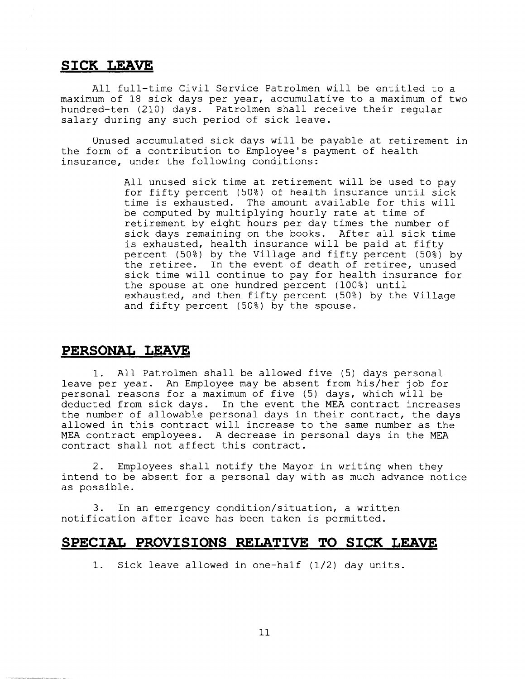# **SICK LEAVE**

All full-time Civil Service Patrolmen will be entitled to a maximum of 18 sick days per year, accumulative to a maximum of two hundred-ten (210) days. Patrolmen shall receive their regular salary during any such period of sick leave.

Unused accumulated sick days will be payable at retirement in the form of a contribution to Employee's payment of health insurance, under the following conditions:

> All unused sick time at retirement will be used to pay for fifty percent (50%) of health insurance until sick time is exhausted. The amount available for this will be computed by multiplying hourly rate at time of retirement by eight hours per day times the number of sick days remaining on the books. After all sick time is exhausted, health insurance will be paid at fifty percent (50%) by the Village and fifty percent (50%) by the retiree. In the event of death of retiree, unused sick time will continue to pay for health insurance for the spouse at one hundred percent (100%) until exhausted, and then fifty percent (50%) by the Village and fifty percent (50%) by the spouse.

# **PERSONAL LEAVE**

1. All Patrolmen shall be allowed five (5) days personal leave per year. An Employee may be absent from his/her job for personal reasons for a maximum of five (5) days, which will be deducted from sick days. In the event the MEA contract increases the number of allowable personal days in their contract, the days allowed in this contract will increase to the same number as the MEA contract employees. A decrease in personal days in the MEA contract shall not affect this contract.

2. Employees shall notify the Mayor in writing when they intend to be absent for a personal day with as much advance notice as possible.

3. In an emergency condition/situation, a written notification after leave has been taken is permitted.

## **SPECIAL PROVISIONS RELATIVE TO SICK LEAVE**

1. Sick leave allowed in one-half (1/2) day units.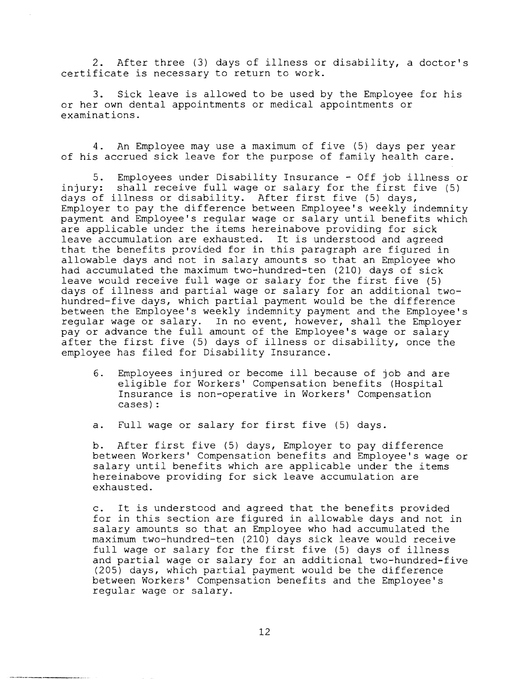2. After three (3) days of illness or disability, a doctor's certificate is necessary to return to work.

3. Sick leave is allowed to be used by the Employee for his or her own dental appointments or medical appointments or examinations.

4. An Employee may use a maximum of five (5) days per year of his accrued sick leave for the purpose of family health care.

5. Employees under Disability Insurance - Off job illness or injury: shall receive full wage or salary for the first five (5) days of illness or disability. After first five (5) days, Employer to pay the difference between Employee's weekly indemnity payment and Employee's regular wage or salary until benefits which are applicable under the items hereinabove providing for sick leave accumulation are exhausted. It is understood and agreed that the benefits provided for in this paragraph are figured in allowable days and not in salary amounts so that an Employee who had accumulated the maximum two-hundred-ten (210) days of sick leave would receive full wage or salary for the first five (5) days of illness and partial wage or salary for an additional twohundred-five days, which partial payment would be the difference between the Employee's weekly indemnity payment and the Employee's regular wage or salary. In no event, however, shall the Employer pay or advance the full amount of the Employee's wage or salary after the first five (5) days of illness or disability, once the employee has filed for Disability Insurance.

- 6. Employees injured or become ill because of job and are eligible for Workers' Compensation benefits (Hospital Insurance is non-operative in Workers' Compensation cases) :
- a. Full wage or salary for first five (5) days.

b. After first five (5) days, Employer to pay difference between Workers' Compensation benefits and Employee's wage or salary until benefits which are applicable under the items hereinabove providing for sick leave accumulation are exhausted.

c. It is understood and agreed that the benefits provided for in this section are figured in allowable days and not in salary amounts so that an Employee who had accumulated the maximum two-hundred-ten (210) days sick leave would receive full wage or salary for the first five (5) days of illness and partial wage or salary for an additional two-hundred-five (205) days, which partial payment would be the difference between Workers' Compensation benefits and the Employee's regular wage or salary.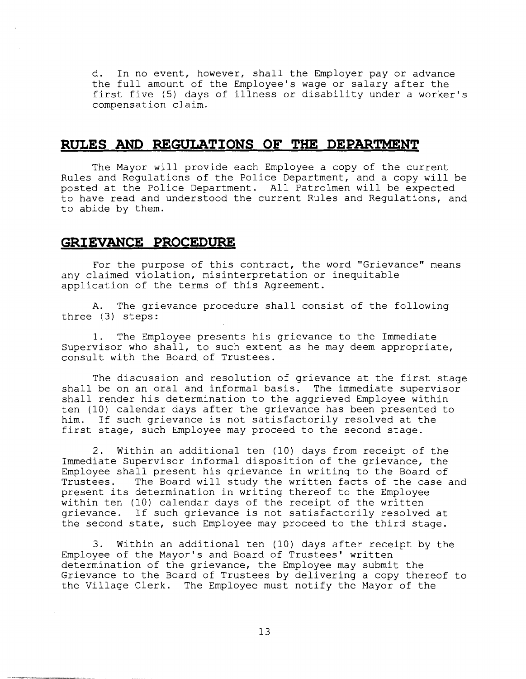d. In no event, however, shall the Employer pay or advance the full amount of the Employee's wage or salary after the first five (5) days of illness or disability under a worker's compensation claim.

#### **RULES AND REGULATIONS OF THE DEPARTMENT**

The Mayor will provide each Employee a copy of the current Rules and Regulations of the Police Department, and a copy will be posted at the Police Department. All Patrolmen will be expected to have read and understood the current Rules and Regulations, and to abide by them.

## **GRIEVANCE PROCEDURE**

For the purpose of this contract, the word "Grievance" means any claimed violation, misinterpretation or inequitable application of the terms of this Agreement.

A. The grievance procedure shall consist of the following three (3) steps:

1. The Employee presents his grievance to the Immediate Supervisor who shall, to such extent as he may deem appropriate, consult with the Board.of Trustees.

The discussion and resolution of grievance at the first stage shall be on an oral and informal basis. The immediate supervisor shall render his determination to the aggrieved Employee within ten (10) calendar days after the grievance has been presented to him. If such grievance is not satisfactorily resolved at the first stage, such Employee may proceed to the second stage.

2. Within an additional ten (10) days from receipt of the Immediate Supervisor informal disposition of the grievance, the Employee shall present his grievance in writing to the Board of Trustees. The Board will study the written facts of the case and present its determination in writing thereof to the Employee within ten (10) calendar days of the receipt of the written grievance. If such grievance is not satisfactorily resolved at the second state, such Employee may proceed to the third stage.

3. Within an additional ten (10) days after receipt by the Employee of the Mayor's and Board of Trustees' written determination of the grievance, the Employee may submit the Grievance to the Board of Trustees by delivering a copy thereof to the Village Clerk. The Employee must notify the Mayor of the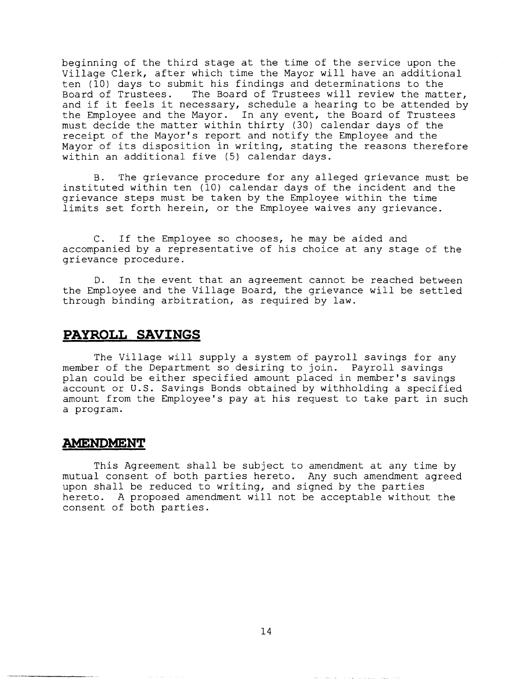beginning of the third stage at the time of the service upon the Village Clerk, after which time the Mayor will have an additional ten (10) days to submit his findings and determinations to the<br>Board of Trustees. The Board of Trustees will review the matt The Board of Trustees will review the matter, and if it feels it necessary, schedule a hearing to be attended by the Employee and the Mayor. In any event, the Board of Trustees must decide the matter within thirty (30) calendar days of the receipt of the Mayor's report and notify the Employee and the Mayor of its disposition in writing, stating the reasons therefore within an additional five (5) calendar days.

B. The grievance procedure for any alleged grievance must be instituted within ten (10) calendar days of the incident and the grievance steps must be taken by the Employee within the time limits set forth herein, or the Employee waives any grievance.

C. If the Employee so chooses, he may be aided and accompanied by a representative of his choice at any stage of the grievance procedure.

D. In the event that an agreement cannot be reached between the Employee and the Village Board, the grievance will be settled through binding arbitration, as required by law.

#### **PAYROLL SAVINGS**

The Village will supply a system of payroll savings for any member of the Department so desiring to join. Payroll savings plan could be either specified amount placed in member's savings account or U.S. Savings Bonds obtained by withholding a specified amount from the Employee's pay at his request to take part in such a program.

#### **AMENDMENT**

This Agreement shall be subject to amendment at any time by mutual consent of both parties hereto. Any such amendment agreed upon shall be reduced to writing, and signed by the parties hereto. A proposed amendment will not be acceptable without the consent of both parties.